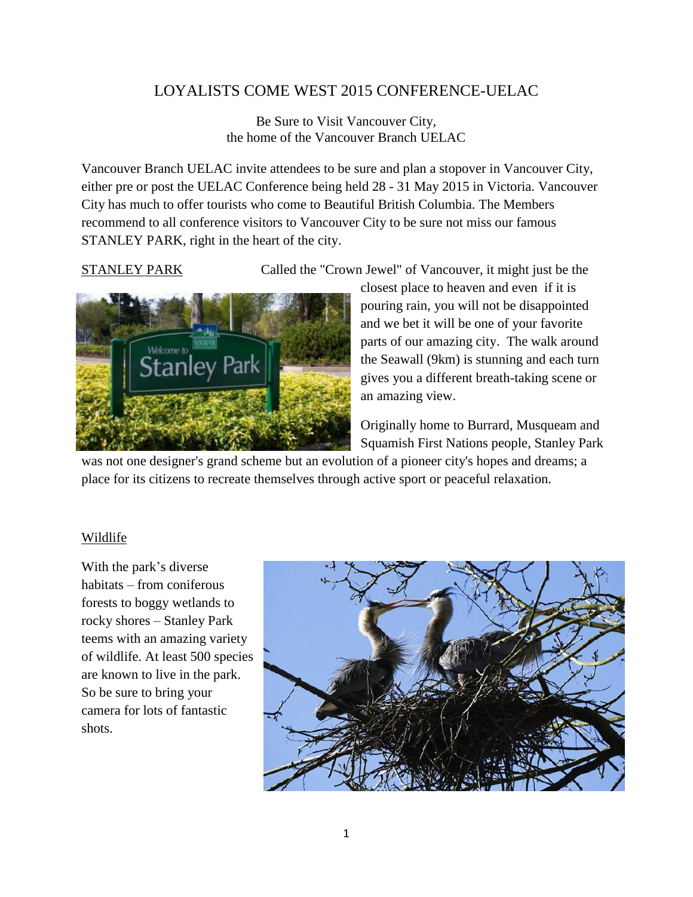## LOYALISTS COME WEST 2015 CONFERENCE-UELAC

Be Sure to Visit Vancouver City, the home of the Vancouver Branch UELAC

Vancouver Branch UELAC invite attendees to be sure and plan a stopover in Vancouver City, either pre or post the UELAC Conference being held 28 - 31 May 2015 in Victoria. Vancouver City has much to offer tourists who come to Beautiful British Columbia. The Members recommend to all conference visitors to Vancouver City to be sure not miss our famous STANLEY PARK, right in the heart of the city.

STANLEY PARK Called the "Crown Jewel" of Vancouver, it might just be the



closest place to heaven and even if it is pouring rain, you will not be disappointed and we bet it will be one of your favorite parts of our amazing city. The walk around the Seawall (9km) is stunning and each turn gives you a different breath-taking scene or an amazing view.

Originally home to Burrard, Musqueam and Squamish First Nations people, Stanley Park

was not one designer's grand scheme but an evolution of a pioneer city's hopes and dreams; a place for its citizens to recreate themselves through active sport or peaceful relaxation.

### Wildlife

With the park's diverse habitats – from coniferous forests to boggy wetlands to rocky shores – Stanley Park teems with an amazing variety of wildlife. At least 500 species are known to live in the park. So be sure to bring your camera for lots of fantastic shots.

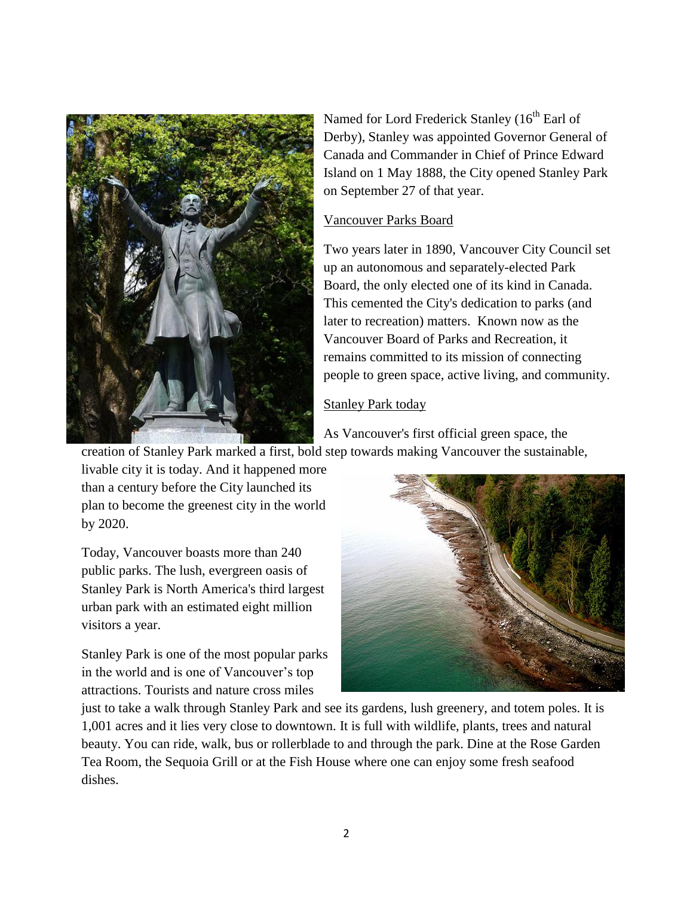

Named for Lord Frederick Stanley (16<sup>th</sup> Earl of Derby), Stanley was appointed Governor General of Canada and Commander in Chief of Prince Edward Island on 1 May 1888, the City opened Stanley Park on September 27 of that year.

#### Vancouver Parks Board

Two years later in 1890, Vancouver City Council set up an autonomous and separately-elected Park Board, the only elected one of its kind in Canada. This cemented the City's dedication to parks (and later to recreation) matters. Known now as the Vancouver Board of Parks and Recreation, it remains committed to its mission of connecting people to green space, active living, and community.

### Stanley Park today

As Vancouver's first official green space, the creation of Stanley Park marked a first, bold step towards making Vancouver the sustainable,

livable city it is today. And it happened more than a century before the City launched its plan to become the greenest city in the world by 2020.

Today, Vancouver boasts more than 240 public parks. The lush, evergreen oasis of Stanley Park is North America's third largest urban park with an estimated eight million visitors a year.

Stanley Park is one of the most popular parks in the world and is one of Vancouver's top attractions. Tourists and nature cross miles



just to take a walk through Stanley Park and see its gardens, lush greenery, and totem poles. It is 1,001 acres and it lies very close to downtown. It is full with wildlife, plants, trees and natural beauty. You can ride, walk, bus or rollerblade to and through the park. Dine at the Rose Garden Tea Room, the Sequoia Grill or at the Fish House where one can enjoy some fresh seafood dishes.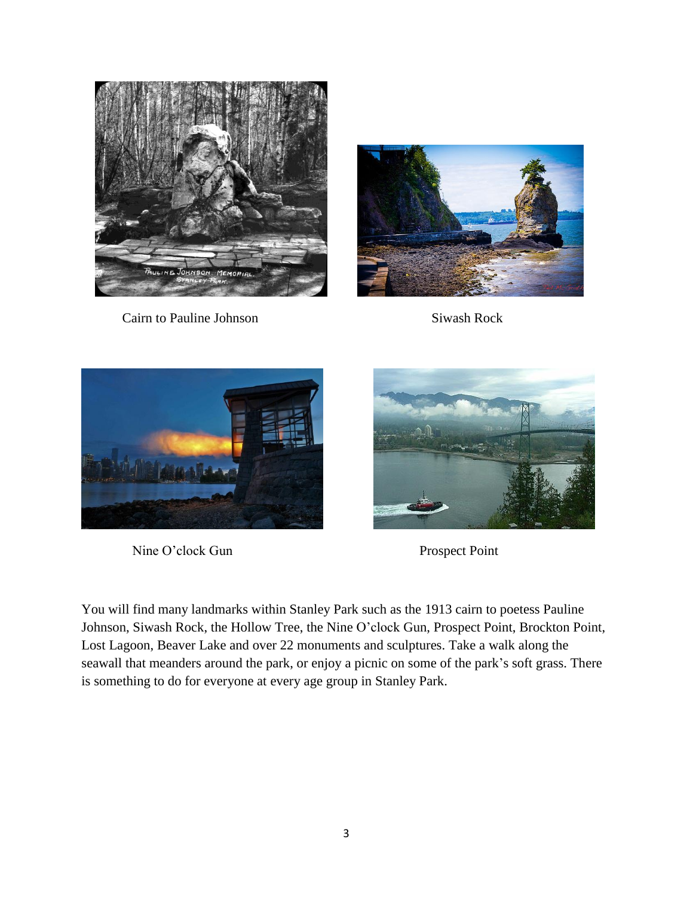

Cairn to Pauline Johnson Siwash Rock





Nine O'clock Gun Prospect Point



You will find many landmarks within Stanley Park such as the 1913 cairn to poetess Pauline Johnson, Siwash Rock, the Hollow Tree, the Nine O'clock Gun, Prospect Point, Brockton Point, Lost Lagoon, Beaver Lake and over 22 monuments and sculptures. Take a walk along the seawall that meanders around the park, or enjoy a picnic on some of the park's soft grass. There is something to do for everyone at every age group in Stanley Park.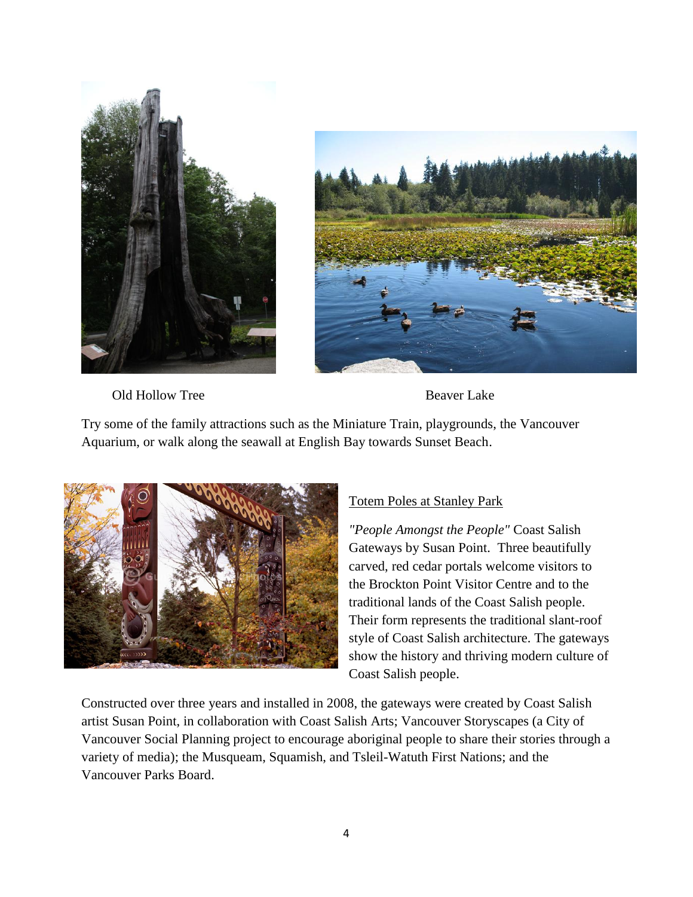



Old Hollow Tree Beaver Lake

Try some of the family attractions such as the Miniature Train, playgrounds, the Vancouver Aquarium, or walk along the seawall at English Bay towards Sunset Beach.



# Totem Poles at Stanley Park

*"People Amongst the People"* Coast Salish Gateways by Susan Point. Three beautifully carved, red cedar portals welcome visitors to the Brockton Point Visitor Centre and to the traditional lands of the Coast Salish people. Their form represents the traditional slant-roof style of Coast Salish architecture. The gateways show the history and thriving modern culture of Coast Salish people.

Constructed over three years and installed in 2008, the gateways were created by Coast Salish artist Susan Point, in collaboration with Coast Salish Arts; Vancouver Storyscapes (a City of Vancouver Social Planning project to encourage aboriginal people to share their stories through a variety of media); the Musqueam, Squamish, and Tsleil-Watuth First Nations; and the Vancouver Parks Board.